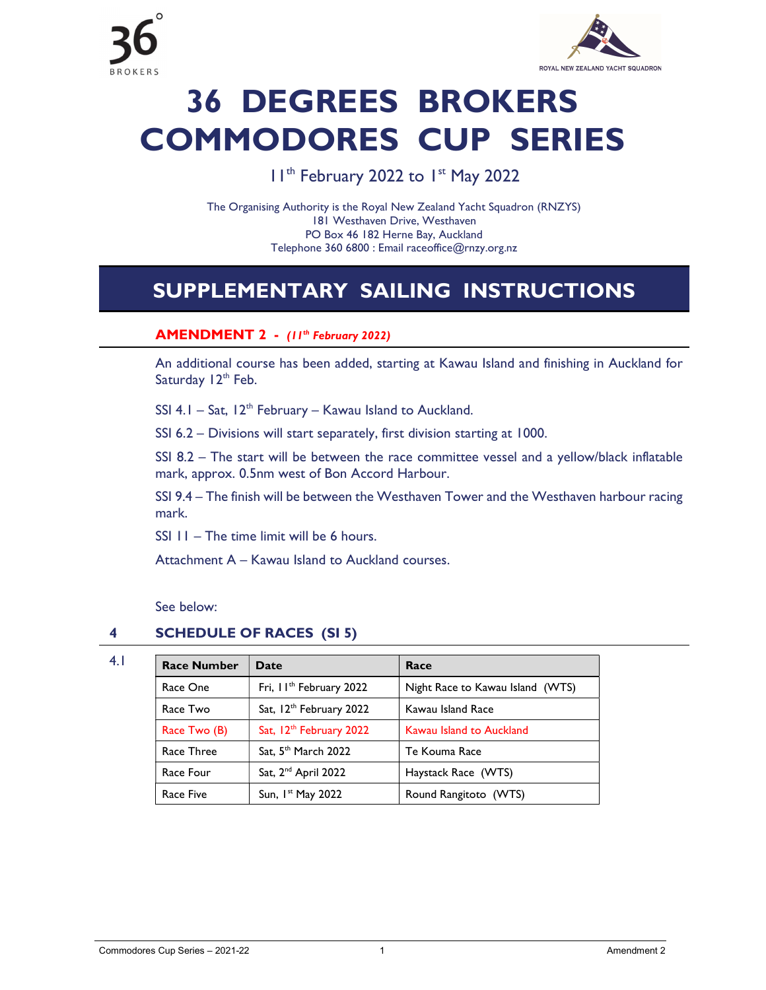

# 36 DEGREES BROKERS COMMODORES CUP SERIES

# I I<sup>th</sup> February 2022 to I<sup>st</sup> May 2022

The Organising Authority is the Royal New Zealand Yacht Squadron (RNZYS) 181 Westhaven Drive, Westhaven PO Box 46 182 Herne Bay, Auckland Telephone 360 6800 : Email raceoffice@rnzy.org.nz

# SUPPLEMENTARY SAILING INSTRUCTIONS

### AMENDMENT 2 - (11<sup>th</sup> February 2022)

 An additional course has been added, starting at Kawau Island and finishing in Auckland for Saturday  $12<sup>th</sup>$  Feb.

SSI 4.1 – Sat,  $12<sup>th</sup>$  February – Kawau Island to Auckland.

SSI 6.2 – Divisions will start separately, first division starting at 1000.

SSI 8.2 – The start will be between the race committee vessel and a yellow/black inflatable mark, approx. 0.5nm west of Bon Accord Harbour.

SSI 9.4 – The finish will be between the Westhaven Tower and the Westhaven harbour racing mark.

SSI 11 – The time limit will be 6 hours.

Attachment A – Kawau Island to Auckland courses.

See below:

#### 4 SCHEDULE OF RACES (SI 5)

| 4.1 | <b>Race Number</b> | Date                                | Race                             |
|-----|--------------------|-------------------------------------|----------------------------------|
|     | Race One           | Fri, II <sup>th</sup> February 2022 | Night Race to Kawau Island (WTS) |
|     | Race Two           | Sat, 12 <sup>th</sup> February 2022 | Kawau Island Race                |
|     | Race Two (B)       | Sat, 12 <sup>th</sup> February 2022 | Kawau Island to Auckland         |
|     | Race Three         | Sat, 5 <sup>th</sup> March 2022     | Te Kouma Race                    |
|     | Race Four          | Sat, 2 <sup>nd</sup> April 2022     | Haystack Race (WTS)              |
|     | Race Five          | Sun, $Ist$ May 2022                 | Round Rangitoto (WTS)            |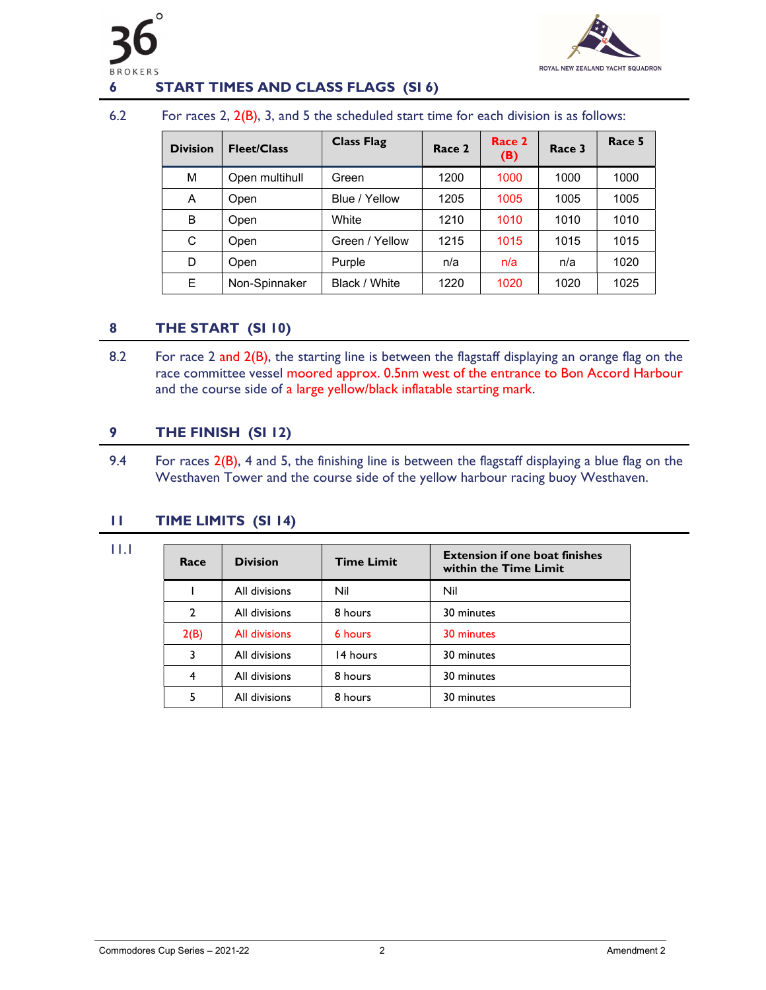



#### 6 START TIMES AND CLASS FLAGS (SI 6)

#### 6.2 For races 2, 2(B), 3, and 5 the scheduled start time for each division is as follows:

| <b>Division</b> | <b>Fleet/Class</b> | <b>Class Flag</b> | Race 2 | Race 2<br>(B) | Race 3 | Race 5 |
|-----------------|--------------------|-------------------|--------|---------------|--------|--------|
| М               | Open multihull     | Green             | 1200   | 1000          | 1000   | 1000   |
| A               | Open               | Blue / Yellow     | 1205   | 1005          | 1005   | 1005   |
| В               | Open               | White             | 1210   | 1010          | 1010   | 1010   |
| C               | Open               | Green / Yellow    | 1215   | 1015          | 1015   | 1015   |
| D               | Open               | Purple            | n/a    | n/a           | n/a    | 1020   |
| Е               | Non-Spinnaker      | Black / White     | 1220   | 1020          | 1020   | 1025   |

#### 8 THE START (SI 10)

8.2 For race 2 and  $2(B)$ , the starting line is between the flagstaff displaying an orange flag on the race committee vessel moored approx. 0.5nm west of the entrance to Bon Accord Harbour and the course side of a large yellow/black inflatable starting mark.

#### 9 THE FINISH (SI 12)

9.4 For races 2(B), 4 and 5, the finishing line is between the flagstaff displaying a blue flag on the Westhaven Tower and the course side of the yellow harbour racing buoy Westhaven.

#### 11 TIME LIMITS (SI 14)

11.1

| Race           | <b>Division</b> | <b>Time Limit</b> | <b>Extension if one boat finishes</b><br>within the Time Limit |
|----------------|-----------------|-------------------|----------------------------------------------------------------|
|                | All divisions   | Nil               | Nil                                                            |
| $\overline{2}$ | All divisions   | 8 hours           | 30 minutes                                                     |
| 2(B)           | All divisions   | 6 hours           | 30 minutes                                                     |
| 3              | All divisions   | 14 hours          | 30 minutes                                                     |
| 4              | All divisions   | 8 hours           | 30 minutes                                                     |
| 5              | All divisions   | 8 hours           | 30 minutes                                                     |